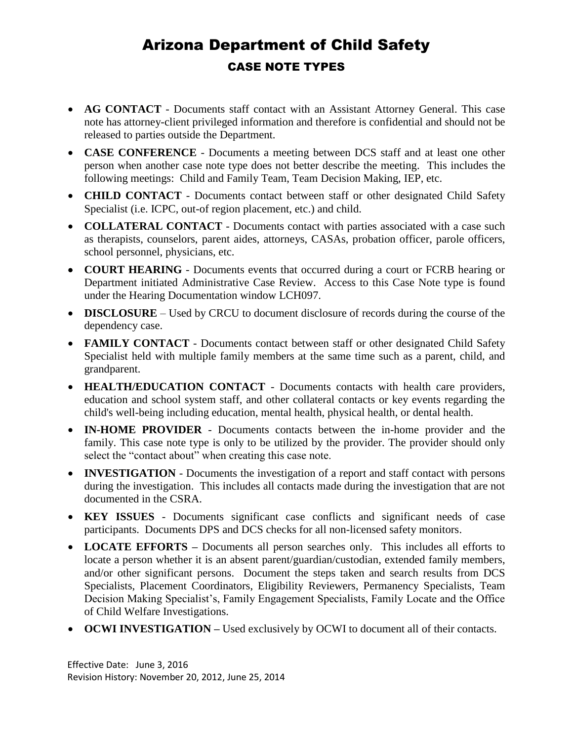## Arizona Department of Child Safety CASE NOTE TYPES

- **AG CONTACT** Documents staff contact with an Assistant Attorney General. This case note has attorney-client privileged information and therefore is confidential and should not be released to parties outside the Department.
- **CASE CONFERENCE** Documents a meeting between DCS staff and at least one other person when another case note type does not better describe the meeting. This includes the following meetings: Child and Family Team, Team Decision Making, IEP, etc.
- **CHILD CONTACT** Documents contact between staff or other designated Child Safety Specialist (i.e. ICPC, out-of region placement, etc.) and child.
- **COLLATERAL CONTACT** Documents contact with parties associated with a case such as therapists, counselors, parent aides, attorneys, CASAs, probation officer, parole officers, school personnel, physicians, etc.
- **COURT HEARING** Documents events that occurred during a court or FCRB hearing or Department initiated Administrative Case Review. Access to this Case Note type is found under the Hearing Documentation window LCH097.
- **DISCLOSURE** Used by CRCU to document disclosure of records during the course of the dependency case.
- **FAMILY CONTACT** Documents contact between staff or other designated Child Safety Specialist held with multiple family members at the same time such as a parent, child, and grandparent.
- **HEALTH/EDUCATION CONTACT** Documents contacts with health care providers, education and school system staff, and other collateral contacts or key events regarding the child's well-being including education, mental health, physical health, or dental health.
- **IN-HOME PROVIDER** Documents contacts between the in-home provider and the family. This case note type is only to be utilized by the provider. The provider should only select the "contact about" when creating this case note.
- **INVESTIGATION** Documents the investigation of a report and staff contact with persons during the investigation. This includes all contacts made during the investigation that are not documented in the CSRA.
- **KEY ISSUES** Documents significant case conflicts and significant needs of case participants. Documents DPS and DCS checks for all non-licensed safety monitors.
- **LOCATE EFFORTS –** Documents all person searches only. This includes all efforts to locate a person whether it is an absent parent/guardian/custodian, extended family members, and/or other significant persons. Document the steps taken and search results from DCS Specialists, Placement Coordinators, Eligibility Reviewers, Permanency Specialists, Team Decision Making Specialist's, Family Engagement Specialists, Family Locate and the Office of Child Welfare Investigations.
- **OCWI INVESTIGATION –** Used exclusively by OCWI to document all of their contacts.

Effective Date: June 3, 2016 Revision History: November 20, 2012, June 25, 2014